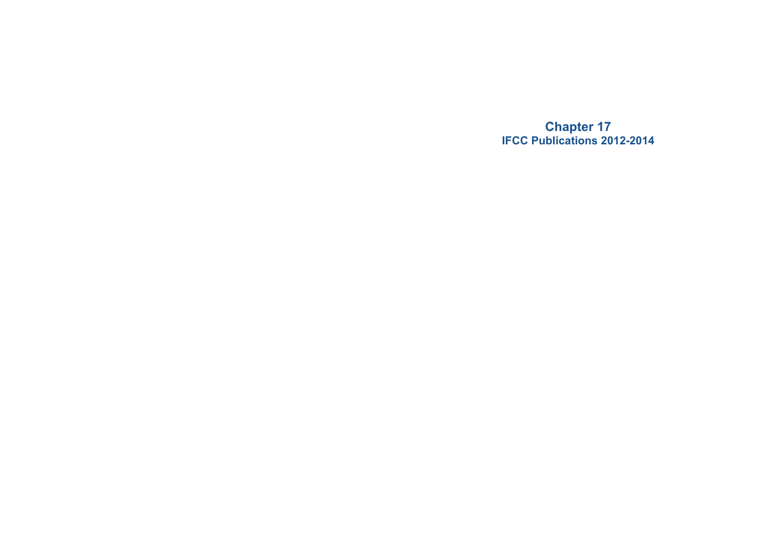**Chapter 17 IFCC Publications 2012-2014**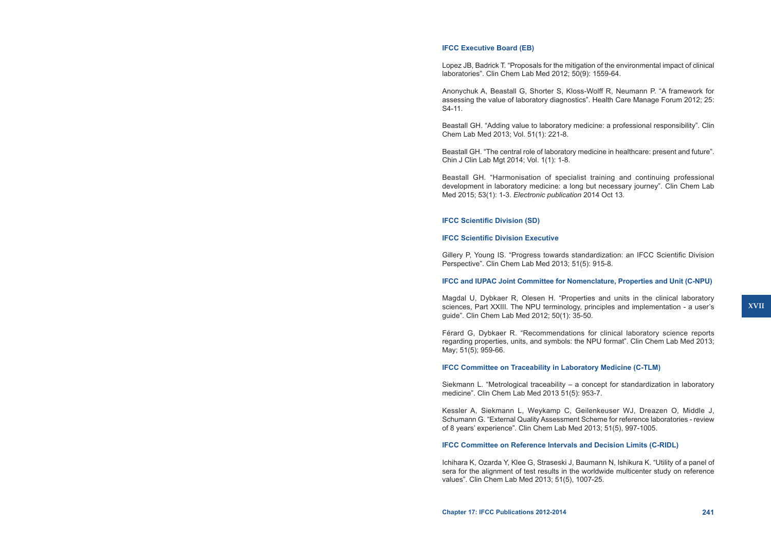## **IFCC Executive Board (EB)**

Lopez JB, Badrick T. "Proposals for the mitigation of the environmental impact of clinical laboratories". Clin Chem Lab Med 2012; 50(9): 1559-64.

Anonychuk A, Beastall G, Shorter S, Kloss-Wolff R, Neumann P. "A framework for assessing the value of laboratory diagnostics". Health Care Manage Forum 2012; 25: S4-11.

Beastall GH. "Adding value to laboratory medicine: a professional responsibility". Clin Chem Lab Med 2013; Vol. 51(1): 221-8.

Beastall GH. "The central role of laboratory medicine in healthcare: present and future". Chin J Clin Lab Mgt 2014; Vol. 1(1): 1-8.

Beastall GH. "Harmonisation of specialist training and continuing professional development in laboratory medicine: a long but necessary journey". Clin Chem Lab Med 2015; 53(1): 1-3. *Electronic publication* 2014 Oct 13*.*

## **IFCC Scientific Division (SD)**

#### **IFCC Scientific Division Executive**

Gillery P, Young IS. "Progress towards standardization: an IFCC Scientific Division Perspective". Clin Chem Lab Med 2013; 51(5): 915-8.

#### **IFCC and IUPAC Joint Committee for Nomenclature, Properties and Unit (C-NPU)**

Magdal U, Dybkaer R, Olesen H. "Properties and units in the clinical laboratory sciences, Part XXIII. The NPU terminology, principles and implementation - a user's guide". Clin Chem Lab Med 2012; 50(1): 35-50.

Férard G, Dybkaer R. "Recommendations for clinical laboratory science reports regarding properties, units, and symbols: the NPU format". Clin Chem Lab Med 2013; May; 51(5); 959-66.

#### **IFCC Committee on Traceability in Laboratory Medicine (C-TLM)**

Siekmann L. "Metrological traceability – a concept for standardization in laboratory medicine". Clin Chem Lab Med 2013 51(5): 953-7.

Kessler A, Siekmann L, Weykamp C, Geilenkeuser WJ, Dreazen O, Middle J, Schumann G. "External Quality Assessment Scheme for reference laboratories - review of 8 years' experience". Clin Chem Lab Med 2013; 51(5), 997-1005.

## **IFCC Committee on Reference Intervals and Decision Limits (C-RIDL)**

Ichihara K, Ozarda Y, Klee G, Straseski J, Baumann N, Ishikura K. "Utility of a panel of sera for the alignment of test results in the worldwide multicenter study on reference values". Clin Chem Lab Med 2013; 51(5), 1007-25.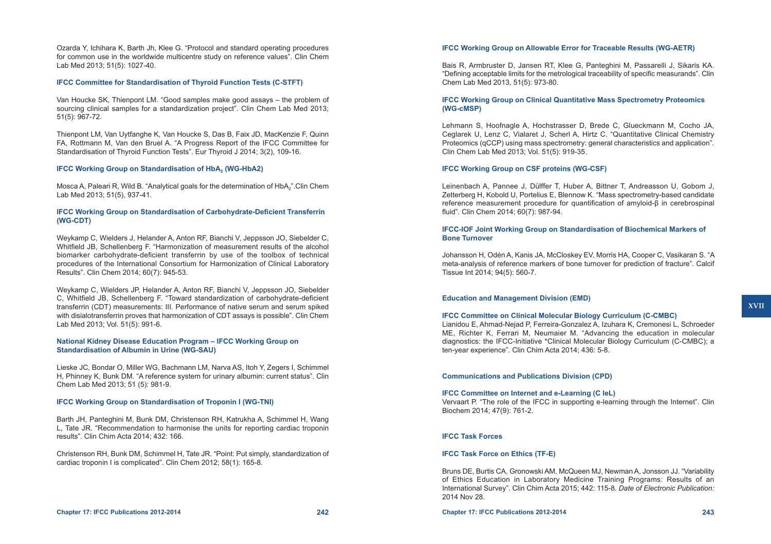Ozarda Y, Ichihara K, Barth Jh, Klee G. "Protocol and standard operating procedures for common use in the worldwide multicentre study on reference values". Clin Chem Lab Med 2013; 51(5): 1027-40.

## **IFCC Committee for Standardisation of Thyroid Function Tests (C-STFT)**

Van Houcke SK, Thienpont LM. "Good samples make good assays – the problem of sourcing clinical samples for a standardization project". Clin Chem Lab Med 2013; 51(5): 967-72.

Thienpont LM, Van Uytfanghe K, Van Houcke S, Das B, Faix JD, MacKenzie F, Quinn FA, Rottmann M, Van den Bruel A. "A Progress Report of the IFCC Committee for Standardisation of Thyroid Function Tests". Eur Thyroid J 2014; 3(2), 109-16.

## **IFCC Working Group on Standardisation of HbA<sub>2</sub> (WG-HbA2)**

Mosca A, Paleari R, Wild B. "Analytical goals for the determination of HbA<sub>2</sub>".Clin Chem Lab Med 2013; 51(5), 937-41.

# **IFCC Working Group on Standardisation of Carbohydrate-Deficient Transferrin (WG-CDT)**

Weykamp C, Wielders J, Helander A, Anton RF, Bianchi V, Jeppsson JO, Siebelder C, Whitfield JB, Schellenberg F. "Harmonization of measurement results of the alcohol biomarker carbohydrate-deficient transferrin by use of the toolbox of technical procedures of the International Consortium for Harmonization of Clinical Laboratory Results". Clin Chem 2014; 60(7): 945-53.

Weykamp C, Wielders JP, Helander A, Anton RF, Bianchi V, Jeppsson JO, Siebelder C, Whitfield JB, Schellenberg F. "Toward standardization of carbohydrate-deficient transferrin (CDT) measurements: III. Performance of native serum and serum spiked with disialotransferrin proves that harmonization of CDT assays is possible". Clin Chem Lab Med 2013; Vol. 51(5): 991-6.

## **National Kidney Disease Education Program – IFCC Working Group on Standardisation of Albumin in Urine (WG-SAU)**

Lieske JC, Bondar O, Miller WG, Bachmann LM, Narva AS, Itoh Y, Zegers I, Schimmel H, Phinney K, Bunk DM. "A reference system for urinary albumin: current status". Clin Chem Lab Med 2013; 51 (5): 981-9.

### **IFCC Working Group on Standardisation of Troponin I (WG-TNI)**

Barth JH, Panteghini M, Bunk DM, Christenson RH, Katrukha A, Schimmel H, Wang L, Tate JR. "Recommendation to harmonise the units for reporting cardiac troponin results". Clin Chim Acta 2014; 432: 166.

Christenson RH, Bunk DM, Schimmel H, Tate JR. "Point: Put simply, standardization of cardiac troponin I is complicated". Clin Chem 2012; 58(1): 165-8.

## **IFCC Working Group on Allowable Error for Traceable Results (WG-AETR)**

Bais R, Armbruster D, Jansen RT, Klee G, Panteghini M, Passarelli J, Sikaris KA. "Defining acceptable limits for the metrological traceability of specific measurands". Clin Chem Lab Med 2013, 51(5): 973-80.

## **IFCC Working Group on Clinical Quantitative Mass Spectrometry Proteomics (WG-cMSP)**

Lehmann S, Hoofnagle A, Hochstrasser D, Brede C, Glueckmann M, Cocho JA, Ceglarek U, Lenz C, Vialaret J, Scherl A, Hirtz C. "Quantitative Clinical Chemistry Proteomics (qCCP) using mass spectrometry: general characteristics and application". Clin Chem Lab Med 2013; Vol. 51(5): 919-35.

# **IFCC Working Group on CSF proteins (WG-CSF)**

Leinenbach A, Pannee J, Dülffer T, Huber A, Bittner T, Andreasson U, Gobom J, Zetterberg H, Kobold U, Portelius E, Blennow K. "Mass spectrometry-based candidate reference measurement procedure for quantification of amyloid-β in cerebrospinal fluid". Clin Chem 2014; 60(7): 987-94.

# **IFCC-IOF Joint Working Group on Standardisation of Biochemical Markers of Bone Turnover**

Johansson H, Odén A, Kanis JA, McCloskey EV, Morris HA, Cooper C, Vasikaran S. "A meta-analysis of reference markers of bone turnover for prediction of fracture". Calcif Tissue Int 2014; 94(5): 560-7.

## **Education and Management Division (EMD)**

#### **IFCC Committee on Clinical Molecular Biology Curriculum (C-CMBC)**

Lianidou E, Ahmad-Nejad P, Ferreira-Gonzalez A, Izuhara K, Cremonesi L, Schroeder ME, Richter K, Ferrari M, Neumaier M. "Advancing the education in molecular diagnostics: the IFCC-Initiative \*Clinical Molecular Biology Curriculum (C-CMBC); a ten-year experience". Clin Chim Acta 2014; 436: 5-8.

# **Communications and Publications Division (CPD)**

#### **IFCC Committee on Internet and e-Learning (C IeL)**

Vervaart P. "The role of the IFCC in supporting e-learning through the Internet". Clin Biochem 2014; 47(9): 761-2.

## **IFCC Task Forces**

# **IFCC Task Force on Ethics (TF-E)**

Bruns DE, Burtis CA, Gronowski AM, McQueen MJ, Newman A, Jonsson JJ. "Variability of Ethics Education in Laboratory Medicine Training Programs: Results of an International Survey". Clin Chim Acta 2015; 442: 115-8. *Date of Electronic Publication:*  2014 Nov 28.